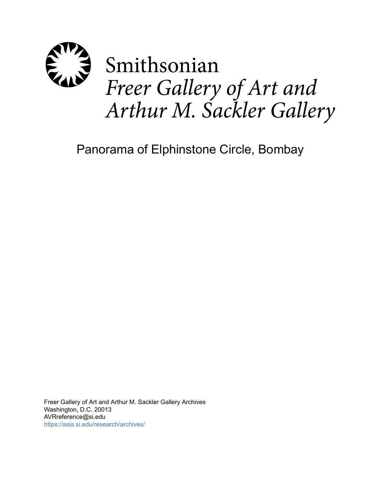

# Panorama of Elphinstone Circle, Bombay

Freer Gallery of Art and Arthur M. Sackler Gallery Archives Washington, D.C. 20013 AVRreference@si.edu <https://asia.si.edu/research/archives/>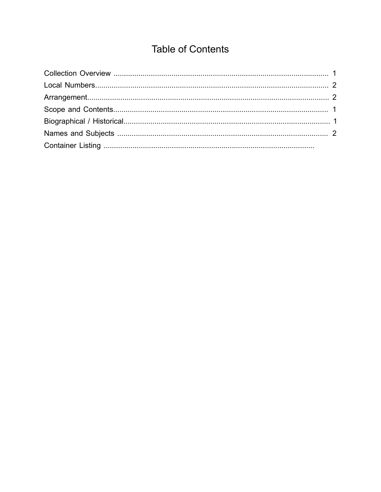## **Table of Contents**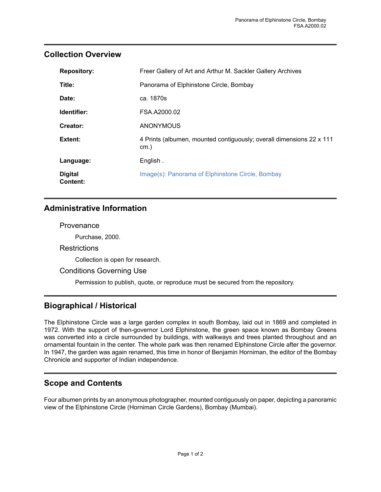## <span id="page-2-0"></span>**Collection Overview**

| <b>Repository:</b>         | Freer Gallery of Art and Arthur M. Sackler Gallery Archives                     |
|----------------------------|---------------------------------------------------------------------------------|
| Title:                     | Panorama of Elphinstone Circle, Bombay                                          |
| Date:                      | ca. 1870s                                                                       |
| Identifier:                | FSA.A2000.02                                                                    |
| Creator:                   | <b>ANONYMOUS</b>                                                                |
| Extent:                    | 4 Prints (albumen, mounted contiguously; overall dimensions 22 x 111<br>$cm.$ ) |
| Language:                  | English.                                                                        |
| <b>Digital</b><br>Content: | Image(s): Panorama of Elphinstone Circle, Bombay                                |

## **Administrative Information**

#### **Provenance**

Purchase, 2000.

#### **Restrictions**

Collection is open for research.

#### Conditions Governing Use

Permission to publish, quote, or reproduce must be secured from the repository.

## <span id="page-2-2"></span>**Biographical / Historical**

The Elphinstone Circle was a large garden complex in south Bombay, laid out in 1869 and completed in 1972. With the support of then-governor Lord Elphinstone, the green space known as Bombay Greens was converted into a circle surrounded by buildings, with walkways and trees planted throughout and an ornamental fountain in the center. The whole park was then renamed Elphinstone Circle after the governor. In 1947, the garden was again renamed, this time in honor of Benjamin Horniman, the editor of the Bombay Chronicle and supporter of Indian independence.

## <span id="page-2-1"></span>**Scope and Contents**

Four albumen prints by an anonymous photographer, mounted contiguously on paper, depicting a panoramic view of the Elphinstone Circle (Horniman Circle Gardens), Bombay (Mumbai).